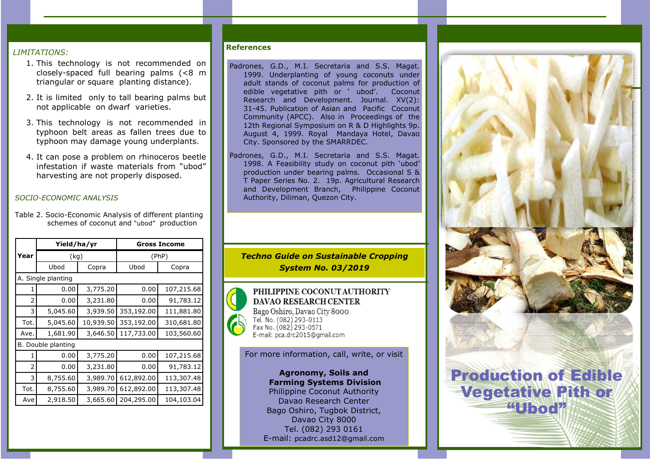## *LIMITATIONS:*

- 1. This technology is not recommended on closely-spaced full bearing palms (<8 m triangular or square planting distance).
- 2. It is limited only to tall bearing palms but not applicable on dwarf varieties.
- 3. This technology is not recommended in typhoon belt areas as fallen trees due to typhoon may damage young underplants.
- 4. It can pose a problem on rhinoceros beetle infestation if waste materials from "ubod" harvesting are not properly disposed.

## *SOCIO-ECONOMIC ANALYSIS*

Table 2. Socio-Economic Analysis of different planting schemes of coconut and "ubod" production

|                    | Yield/ha/yr |           | <b>Gross Income</b> |            |  |  |
|--------------------|-------------|-----------|---------------------|------------|--|--|
| Year               | (kg)        |           | (PhP)               |            |  |  |
|                    | Ubod        | Copra     | Ubod                | Copra      |  |  |
| A. Single planting |             |           |                     |            |  |  |
| 1                  | 0.00        | 3,775.20  | 0.00                | 107,215.68 |  |  |
| 2                  | 0.00        | 3,231.80  | 0.00                | 91,783.12  |  |  |
| 3                  | 5,045.60    | 3,939.50  | 353,192.00          | 111,881.80 |  |  |
| Tot.               | 5,045.60    | 10,939.50 | 353,192.00          | 310,681.80 |  |  |
| Ave.               | 1,681.90    | 3,646.50  | 117,733.00          | 103,560.60 |  |  |
| B. Double planting |             |           |                     |            |  |  |
| 1                  | 0.00        | 3,775.20  | 0.00                | 107,215.68 |  |  |
| 2                  | 0.00        | 3,231.80  | 0.00                | 91,783.12  |  |  |
| 3                  | 8,755.60    | 3,989.70  | 612,892.00          | 113,307.48 |  |  |
| Tot.               | 8,755.60    | 3,989.70  | 612,892.00          | 113,307.48 |  |  |
| Ave                | 2,918.50    | 3,665.60  | 204,295.00          | 104,103.04 |  |  |

## References

- Padrones, G.D., M.I. Secretaria and S.S. Magat. 1999. Underplanting of young coconuts under adult stands of coconut palms for production of<br>edible vegetative pith or 'ubod'. Coconut edible vegetative pith or  $'$  ubod'. Research and Development. Journal. XV(2): 31-45. Publication of Asian and Pacific Coconut Community (APCC). Also in Proceedings of the 12th Regional Symposium on R & D Highlights 9p. August 4, 1999. Royal Mandaya Hotel, Davao City. Sponsored by the SMARRDEC.
- Padrones, G.D., M.I. Secretaria and S.S. Magat. 1998. A Feasibility study on coconut pith 'ubod' production under bearing palms. Occasional S & T Paper Series No. 2. 19p. Agricultural Research and Development Branch, Philippine Coconut Authority, Diliman, Quezon City.

*Techno Guide on Sustainable Cropping System No. 03/2019*



PHILIPPINE COCONUT AUTHORITY **DAVAO RESEARCH CENTER** Bago Oshiro, Davao City 8000 Tel. No. (082) 293-0113 Fax No. (082) 293-0571

For more information, call, write, or visit

Agronomy, Soils and Farming Systems Division Philippine Coconut Authority Davao Research Center Bago Oshiro, Tugbok District, Davao City 8000 Tel. (082) 293 0161 E-mail: pcadrc.asd12@gmail.com